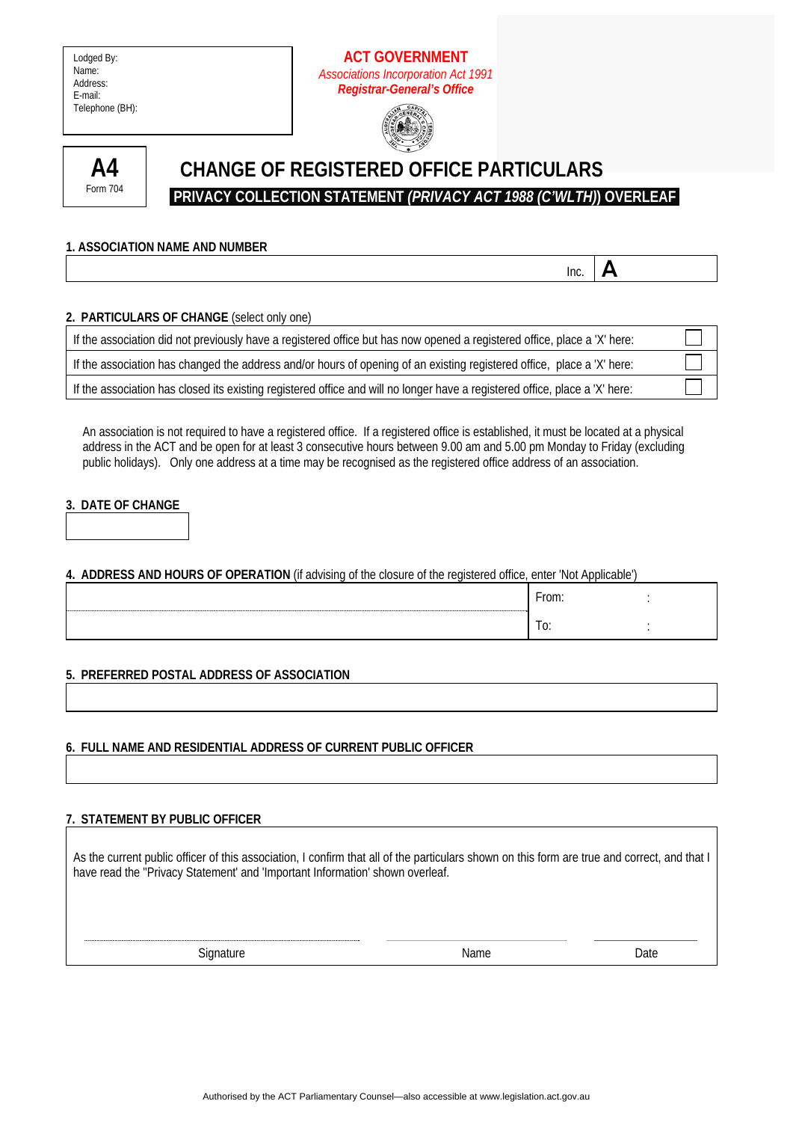Lodged By: Name: Address: E-mail: Telephone (BH):

# **ACT GOVERNMENT**  *Associations Incorporation Act 1991 Registrar-General's Office*





# **CHANGE OF REGISTERED OFFICE PARTICULARS PRIVACY COLLECTION STATEMENT** *(PRIVACY ACT 1988 (C'WLTH)***) OVERLEAF**

#### **1. ASSOCIATION NAME AND NUMBER**

 $\overline{\mathsf{I}}$  Inc.  $\overline{\mathsf{A}}$ 

## **2. PARTICULARS OF CHANGE** (select only one)

| If the association did not previously have a registered office but has now opened a registered office, place a 'X' here:    |  |
|-----------------------------------------------------------------------------------------------------------------------------|--|
| If the association has changed the address and/or hours of opening of an existing registered office, place a 'X' here:      |  |
| If the association has closed its existing registered office and will no longer have a registered office, place a 'X' here: |  |

An association is not required to have a registered office. If a registered office is established, it must be located at a physical address in the ACT and be open for at least 3 consecutive hours between 9.00 am and 5.00 pm Monday to Friday (excluding public holidays). Only one address at a time may be recognised as the registered office address of an association.

## **3. DATE OF CHANGE**

## **4. ADDRESS AND HOURS OF OPERATION** (if advising of the closure of the registered office, enter 'Not Applicable')

| From:       |  |
|-------------|--|
| $\sim$<br>. |  |

# **5. PREFERRED POSTAL ADDRESS OF ASSOCIATION**

# **6. FULL NAME AND RESIDENTIAL ADDRESS OF CURRENT PUBLIC OFFICER**

## **7. STATEMENT BY PUBLIC OFFICER**

As the current public officer of this association, I confirm that all of the particulars shown on this form are true and correct, and that I have read the ''Privacy Statement' and 'Important Information' shown overleaf.

Signature Date Date Name Name Date